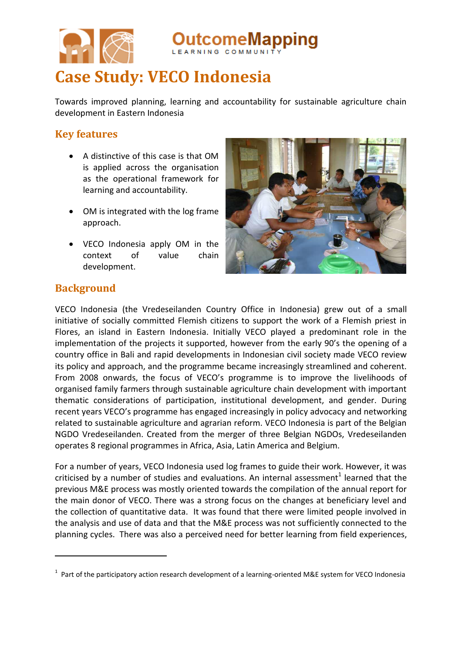

**Case Study: VECO Indonesia**

Towards improved planning, learning and accountability for sustainable agriculture chain development in Eastern Indonesia

າeMapping

## **Key features**

- A distinctive of this case is that OM is applied across the organisation as the operational framework for learning and accountability.
- OM is integrated with the log frame approach.
- VECO Indonesia apply OM in the context of value chain development.



### **Background**

 $\overline{a}$ 

VECO Indonesia (the Vredeseilanden Country Office in Indonesia) grew out of a small initiative of socially committed Flemish citizens to support the work of a Flemish priest in Flores, an island in Eastern Indonesia. Initially VECO played a predominant role in the implementation of the projects it supported, however from the early 90's the opening of a country office in Bali and rapid developments in Indonesian civil society made VECO review its policy and approach, and the programme became increasingly streamlined and coherent. From 2008 onwards, the focus of VECO's programme is to improve the livelihoods of organised family farmers through sustainable agriculture chain development with important thematic considerations of participation, institutional development, and gender. During recent years VECO's programme has engaged increasingly in policy advocacy and networking related to sustainable agriculture and agrarian reform. VECO Indonesia is part of the Belgian NGDO Vredeseilanden. Created from the merger of three Belgian NGDOs, Vredeseilanden operates 8 regional programmes in Africa, Asia, Latin America and Belgium.

For a number of years, VECO Indonesia used log frames to guide their work. However, it was criticised by a number of studies and evaluations. An internal assessment<sup>1</sup> learned that the previous M&E process was mostly oriented towards the compilation of the annual report for the main donor of VECO. There was a strong focus on the changes at beneficiary level and the collection of quantitative data. It was found that there were limited people involved in the analysis and use of data and that the M&E process was not sufficiently connected to the planning cycles. There was also a perceived need for better learning from field experiences,

 $1$  Part of the participatory action research development of a learning-oriented M&E system for VECO Indonesia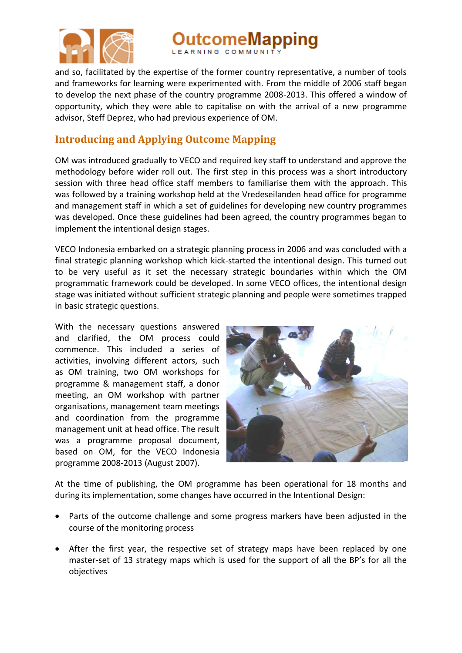

tcomeMapping

and so, facilitated by the expertise of the former country representative, a number of tools and frameworks for learning were experimented with. From the middle of 2006 staff began to develop the next phase of the country programme 2008-2013. This offered a window of opportunity, which they were able to capitalise on with the arrival of a new programme advisor, Steff Deprez, who had previous experience of OM.

## **Introducing and Applying Outcome Mapping**

OM was introduced gradually to VECO and required key staff to understand and approve the methodology before wider roll out. The first step in this process was a short introductory session with three head office staff members to familiarise them with the approach. This was followed by a training workshop held at the Vredeseilanden head office for programme and management staff in which a set of guidelines for developing new country programmes was developed. Once these guidelines had been agreed, the country programmes began to implement the intentional design stages.

VECO Indonesia embarked on a strategic planning process in 2006 and was concluded with a final strategic planning workshop which kick-started the intentional design. This turned out to be very useful as it set the necessary strategic boundaries within which the OM programmatic framework could be developed. In some VECO offices, the intentional design stage was initiated without sufficient strategic planning and people were sometimes trapped in basic strategic questions.

With the necessary questions answered and clarified, the OM process could commence. This included a series of activities, involving different actors, such as OM training, two OM workshops for programme & management staff, a donor meeting, an OM workshop with partner organisations, management team meetings and coordination from the programme management unit at head office. The result was a programme proposal document, based on OM, for the VECO Indonesia programme 2008-2013 (August 2007).



At the time of publishing, the OM programme has been operational for 18 months and during its implementation, some changes have occurred in the Intentional Design:

- Parts of the outcome challenge and some progress markers have been adjusted in the course of the monitoring process
- After the first year, the respective set of strategy maps have been replaced by one master-set of 13 strategy maps which is used for the support of all the BP's for all the objectives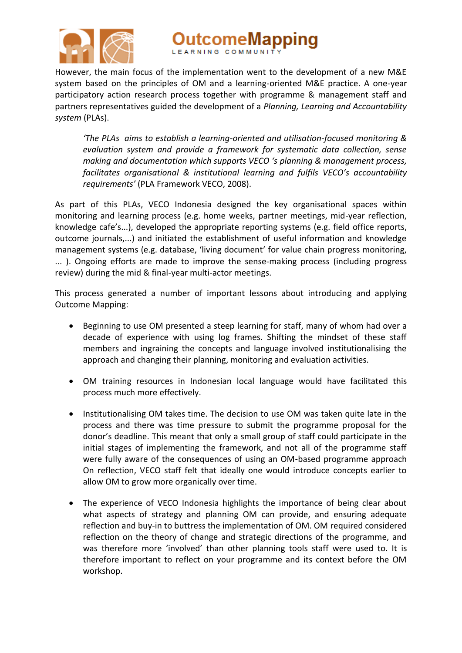

ıtcomeMapping

However, the main focus of the implementation went to the development of a new M&E system based on the principles of OM and a learning-oriented M&E practice. A one-year participatory action research process together with programme & management staff and partners representatives guided the development of a *Planning, Learning and Accountability system* (PLAs).

*'The PLAs aims to establish a learning-oriented and utilisation-focused monitoring & evaluation system and provide a framework for systematic data collection, sense making and documentation which supports VECO 's planning & management process, facilitates organisational & institutional learning and fulfils VECO's accountability requirements'* (PLA Framework VECO, 2008).

As part of this PLAs, VECO Indonesia designed the key organisational spaces within monitoring and learning process (e.g. home weeks, partner meetings, mid-year reflection, knowledge cafe's...), developed the appropriate reporting systems (e.g. field office reports, outcome journals,...) and initiated the establishment of useful information and knowledge management systems (e.g. database, 'living document' for value chain progress monitoring, ... ). Ongoing efforts are made to improve the sense-making process (including progress review) during the mid & final-year multi-actor meetings.

This process generated a number of important lessons about introducing and applying Outcome Mapping:

- Beginning to use OM presented a steep learning for staff, many of whom had over a decade of experience with using log frames. Shifting the mindset of these staff members and ingraining the concepts and language involved institutionalising the approach and changing their planning, monitoring and evaluation activities.
- OM training resources in Indonesian local language would have facilitated this process much more effectively.
- Institutionalising OM takes time. The decision to use OM was taken quite late in the process and there was time pressure to submit the programme proposal for the donor's deadline. This meant that only a small group of staff could participate in the initial stages of implementing the framework, and not all of the programme staff were fully aware of the consequences of using an OM-based programme approach On reflection, VECO staff felt that ideally one would introduce concepts earlier to allow OM to grow more organically over time.
- The experience of VECO Indonesia highlights the importance of being clear about what aspects of strategy and planning OM can provide, and ensuring adequate reflection and buy-in to buttress the implementation of OM. OM required considered reflection on the theory of change and strategic directions of the programme, and was therefore more 'involved' than other planning tools staff were used to. It is therefore important to reflect on your programme and its context before the OM workshop.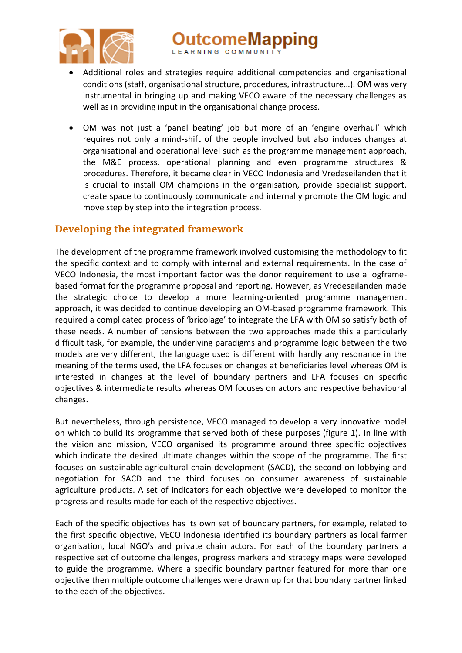

utcomeMapping

- Additional roles and strategies require additional competencies and organisational conditions (staff, organisational structure, procedures, infrastructure…). OM was very instrumental in bringing up and making VECO aware of the necessary challenges as well as in providing input in the organisational change process.
- OM was not just a 'panel beating' job but more of an 'engine overhaul' which requires not only a mind-shift of the people involved but also induces changes at organisational and operational level such as the programme management approach, the M&E process, operational planning and even programme structures & procedures. Therefore, it became clear in VECO Indonesia and Vredeseilanden that it is crucial to install OM champions in the organisation, provide specialist support, create space to continuously communicate and internally promote the OM logic and move step by step into the integration process.

### **Developing the integrated framework**

The development of the programme framework involved customising the methodology to fit the specific context and to comply with internal and external requirements. In the case of VECO Indonesia, the most important factor was the donor requirement to use a logframebased format for the programme proposal and reporting. However, as Vredeseilanden made the strategic choice to develop a more learning-oriented programme management approach, it was decided to continue developing an OM-based programme framework. This required a complicated process of 'bricolage' to integrate the LFA with OM so satisfy both of these needs. A number of tensions between the two approaches made this a particularly difficult task, for example, the underlying paradigms and programme logic between the two models are very different, the language used is different with hardly any resonance in the meaning of the terms used, the LFA focuses on changes at beneficiaries level whereas OM is interested in changes at the level of boundary partners and LFA focuses on specific objectives & intermediate results whereas OM focuses on actors and respective behavioural changes.

But nevertheless, through persistence, VECO managed to develop a very innovative model on which to build its programme that served both of these purposes (figure 1). In line with the vision and mission, VECO organised its programme around three specific objectives which indicate the desired ultimate changes within the scope of the programme. The first focuses on sustainable agricultural chain development (SACD), the second on lobbying and negotiation for SACD and the third focuses on consumer awareness of sustainable agriculture products. A set of indicators for each objective were developed to monitor the progress and results made for each of the respective objectives.

Each of the specific objectives has its own set of boundary partners, for example, related to the first specific objective, VECO Indonesia identified its boundary partners as local farmer organisation, local NGO's and private chain actors. For each of the boundary partners a respective set of outcome challenges, progress markers and strategy maps were developed to guide the programme. Where a specific boundary partner featured for more than one objective then multiple outcome challenges were drawn up for that boundary partner linked to the each of the objectives.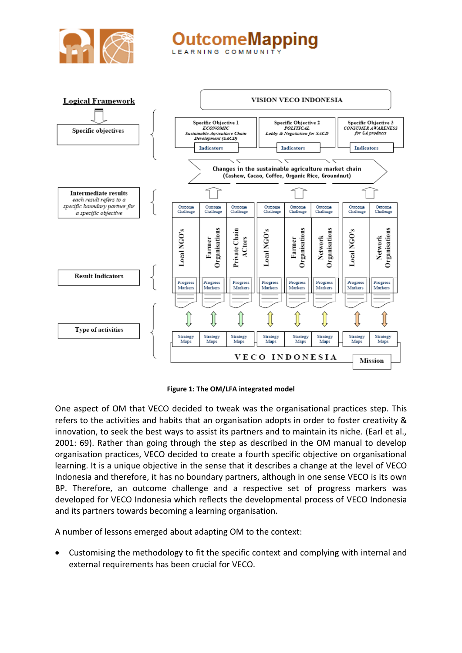

# omeMapping LEARNING COMMUNIT



**Figure 1: The OM/LFA integrated model**

One aspect of OM that VECO decided to tweak was the organisational practices step. This refers to the activities and habits that an organisation adopts in order to foster creativity & innovation, to seek the best ways to assist its partners and to maintain its niche. (Earl et al., 2001: 69). Rather than going through the step as described in the OM manual to develop organisation practices, VECO decided to create a fourth specific objective on organisational learning. It is a unique objective in the sense that it describes a change at the level of VECO Indonesia and therefore, it has no boundary partners, although in one sense VECO is its own BP. Therefore, an outcome challenge and a respective set of progress markers was developed for VECO Indonesia which reflects the developmental process of VECO Indonesia and its partners towards becoming a learning organisation.

A number of lessons emerged about adapting OM to the context:

 Customising the methodology to fit the specific context and complying with internal and external requirements has been crucial for VECO.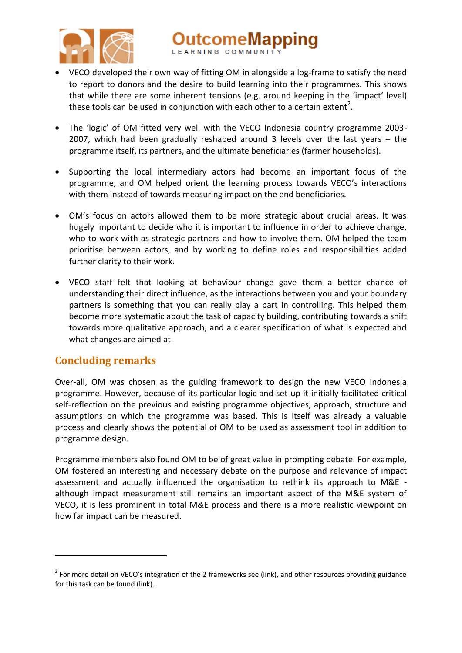

- VECO developed their own way of fitting OM in alongside a log-frame to satisfy the need to report to donors and the desire to build learning into their programmes. This shows that while there are some inherent tensions (e.g. around keeping in the 'impact' level) these tools can be used in conjunction with each other to a certain extent<sup>2</sup>.
- The 'logic' of OM fitted very well with the VECO Indonesia country programme 2003-2007, which had been gradually reshaped around 3 levels over the last years – the programme itself, its partners, and the ultimate beneficiaries (farmer households).
- Supporting the local intermediary actors had become an important focus of the programme, and OM helped orient the learning process towards VECO's interactions with them instead of towards measuring impact on the end beneficiaries.
- OM's focus on actors allowed them to be more strategic about crucial areas. It was hugely important to decide who it is important to influence in order to achieve change, who to work with as strategic partners and how to involve them. OM helped the team prioritise between actors, and by working to define roles and responsibilities added further clarity to their work.
- VECO staff felt that looking at behaviour change gave them a better chance of understanding their direct influence, as the interactions between you and your boundary partners is something that you can really play a part in controlling. This helped them become more systematic about the task of capacity building, contributing towards a shift towards more qualitative approach, and a clearer specification of what is expected and what changes are aimed at.

## **Concluding remarks**

 $\overline{a}$ 

Over-all, OM was chosen as the guiding framework to design the new VECO Indonesia programme. However, because of its particular logic and set-up it initially facilitated critical self-reflection on the previous and existing programme objectives, approach, structure and assumptions on which the programme was based. This is itself was already a valuable process and clearly shows the potential of OM to be used as assessment tool in addition to programme design.

Programme members also found OM to be of great value in prompting debate. For example, OM fostered an interesting and necessary debate on the purpose and relevance of impact assessment and actually influenced the organisation to rethink its approach to M&E although impact measurement still remains an important aspect of the M&E system of VECO, it is less prominent in total M&E process and there is a more realistic viewpoint on how far impact can be measured.

 $2$  For more detail on VECO's integration of the 2 frameworks see (link), and other resources providing guidance for this task can be found (link).